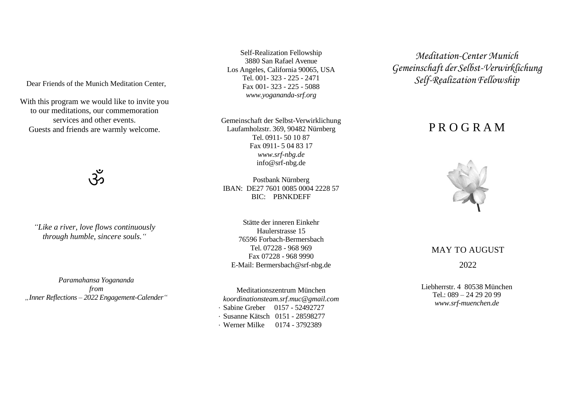Dear Friends of the Munich Meditation Center,

With this program we would like to invite you to our meditations, our commemoration services and other events. Guests and friends are warmly welcome.

 $\breve{\mathcal{S}}$ 

*"Like a river, love flows continuously through humble, sincere souls."*

*Paramahansa Yogananda from "Inner Reflections – 2022 Engagement-Calender"*

Self-Realization Fellowship 3880 San Rafael Avenue Los Angeles, California 90065, USA Tel. 001- 323 - 225 - 2471 Fax 001- 323 - 225 - 5088 *[www.yogananda-srf.org](http://www.yogananda-srf.org/)*

Gemeinschaft der Selbst-Verwirklichung Laufamholzstr. 369, 90482 Nürnberg Tel. 0911- 50 10 87 Fax 0911- 5 04 83 17 *www.srf-nbg.de* info@srf-nbg.de

Postbank Nürnberg IBAN: DE27 7601 0085 0004 2228 57 BIC: PBNKDEFF

Stätte der inneren Einkehr Haulerstrasse 15 76596 Forbach-Bermersbach Tel. 07228 - 968 969 Fax 07228 - 968 9990 E-Mail: [Bermersbach@srf-nbg.de](mailto:Bermersbach@srf-nbg.de)

Meditationszentrum Münche[n](mailto:koordinationsteam.srf.muc@gmail.com) *[koordinationsteam.srf.muc@gmail.com](mailto:koordinationsteam.srf.muc@gmail.com)* · Sabine Greber 0157 - 52492727 · Susanne Kätsch 0151 - 28598277

· Werner Milke 0174 - 3792389

*Meditation-Center Munich Gemeinschaft der Selbst-Verwirklichung Self-RealizationFellowship*

# P R O G R A M



### MAY TO AUGUST

2022

Liebherrstr. 4 80538 München  $Tel \cdot 089 - 242292099$ *[www.srf-muenchen.de](http://www.srf-muenchen.de/)*